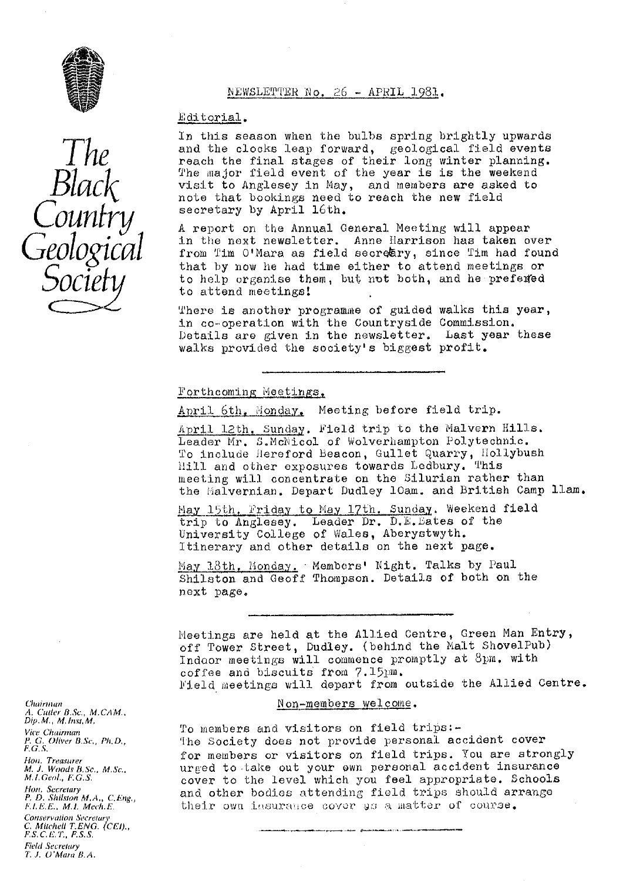

### NEWSLETTER No. 26 - APRIL 1981.

#### Editorial.

In this season when the bulbs *spring brightly upwards* and the clocks leap forward, geological field events reach the final stages of their long winter planning. The major field event of the year is is the weekend visit to Anglesey in May, and members are asked to note that bookings need to reach the new field secretary by April 16th.

A report on the Annual General Meeting will appear **in** the next newsletter. Anne Harrison has taken over from Tim O'Mara as field secreary, since Tim had found that by now he had time either to attend meetings or to help organise them, but not both, and he prefered to attend meetings.

There is another programme of guided walks this year, in co-operation with the Countryside Commission Details are given in the newsletter. Last year these walks provided the society's biggest profit.

## Forthcoming Meetings.

April 6th, Monday, Meeting before field trip.

April 12th, Sunday. Field trip to the Malvern Hills. Leader Mr. S.McNicol of Wolverhampton Polytechnic. To include Hereford Beacon, *Gullet quarry, Hollybush* hill and other exposures towards Lodbury. This meeting will concentrate on the Silurian rather than the lialvernian. Depart Dudley loam. and British Camp llam.

May 15th. Friday to May 17th. Sunday. Weekend field trip to Anglesey. Leader Dr. D.E. Bates of the University College of Wales, Aberystwyth. Itinerary and other details on the next page.

May  $18th$ . Monday. Members' Night. Talks by Paul Shilston. and Geoff Thompson. Details of both on the next page.

Meetings are held at the Allied Centre, Green Man Entry, off Tower Street, Dudley. (behind the Malt ShovelPub) Indoor meetings will commence promptly at 8pm. with coffee and biscuits from 7.l5pm. Yield meetings will depart from outside the Allied Centre.

#### Non -members welcome .

To members and visitors on field trips:-The Society does not provide personal accident cover for members or visitors on field trips. You are strongly urged to -take out your own personal accident insurance *cover to the level* which you feel appropriate. Schools and other bodies attending field trips should arrange their own insurance cover as a matter of course.

Chairman *A. Carrier E3. Sc., M. CAM., Dip. M. , M. Exist. M, Vice Chairman* F. G. Oliver *B.sc,, Pit. D,,* F.G.S. Hon, Treasurer<br>M. J. Woods B.Sc., M.Sc.<br>M.I.Geol., F.G.S. Hon, Secretary<br>P. D. Shilston M.A., C.Eng.<sub>,</sub> FJ,E.E., M.E. Meeh.E.

Conservation Secretary *C. Mitchell T. ENG. (CEI)" F.S. C.E.T., F.S.S.* Field Secretary *1, J. U'Mara E3. A.*

*The Black Counfry Geological Socief*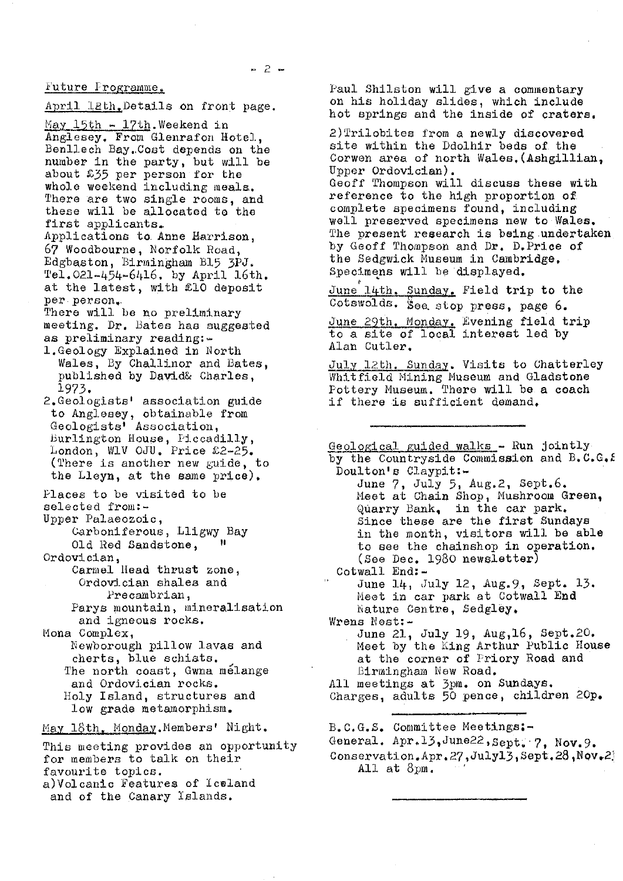Future Programme.

April 12th. Details on front page.

apr<del>il Eath.</del> Decaris on from<br>May 15th - 17th Weekend in Anglesey. From Glenrafon Hotel, Benllech Bay.,Cost depends on the number in the party, but will be about £35 per person for the whole weekend including meals. There are two single rooms, and these will be allocated to the first applicants,. Applications to. Anne Harrison, 67 Woodbourne, Norfolk Road,

Edgbaston, Birmingham B15 3PJ.<br>Tel.021-454-6416. by April 16th. at the latest, with £10 deposit per person

There will be no preliminary meeting. Dr. Bates has suggested as preliminary reading:-

- l.Geology Explained in North Wales, By Challinor and Bates, published by David& Charles, 1973.
- 2.Geologists' association guide to Anglesey, obtainable from Geologists' Association, Burlington House, Piccadilly, London, W1V OJU, Price £2-25, (There is another new guide, to the Lleyn, at the same price).
- Places to be visited to be selected from:- Upper Palaeozoic,
- Carboniferous, Lligwy Bay<br> $Q$ ld Red Sandstone Old Red Sandstone, Ordovician,
	- Carmel Head thrust zone, Ordovician shalea and Precambrian,
	- Parys mountain, mineralisation and igneous rocks.

Mona Complex,

- Newborough pillow lavas and cherts, blue schiats. The north coast, Gwna mélange and Ordovician rocks. Holy Island, structures and low grade metamorphism.
- May 18th. Monday.Members' Night.

This meeting provides an opportunity for members to talk on their favourite topics. a)Volcanic features of Iceland and of the Canary Islands.

Paul Shilston will give a commentary on his holiday slides, which include hot springs and the inside of craters.

2)Trilobites from a newly discovered site within the Ddolhir beds of the Corwon area of north Wales,(Ashgilliau, Upper Ordovician) .

Geoff Thompson will discuss these with reference to the high proportion of complete specimens found, including well preserved specimens new to Wales. The present research is being undertaken by Geoff Thompson and Dr. D. Price of the Sedgwick Museum in Cambridge, Specimens will be displayed.

June l4th, Sunday, Field trip to the Cotswolds, See, stop press, page 6.

June 29th. Monday. Evening field trip<br>to a site of local interest led by Alan Cutler,

July 12th. Sunday. Visits to Chatterley Whitfield Mining Museum and Gladstone Pottery Museum. There will be a coach if there is sufficient demand.

Geological guided walks - Run jointly by the Countryside Commission and  $B_4C_6C_6$ . Doulton's Claypit:-June 7, July 5, Aug.2, Sept.6. Meet at Chain Shop, Mushroom Green, Quarry Bank, in the car park, Since these are the first Sundays in the month, visitors will be able to see the chainshop in operation, (See Dec. 1930 newsletter) Cotwall End: -June 14, July 12, Aug.9, Sept. 13. Meet in car park at Cotwall End Nature Centre, Sedgley. Wrens Nest:-June 21, July 19, Aug,16, Sept.20. Meet by the King Arthur Public House at the corner of Priory Road and Birmingham New Road. All meetings at 3pm. on Sundays. Charges, adults 50 pence, children 20p, B. C.G.S. Committee Meetings:-

General. Apr.13,June22, Sept. 7, Nov. 9.

Conservation.Apr.27, July13, Sept.28, Nov. 2 All at 8pm.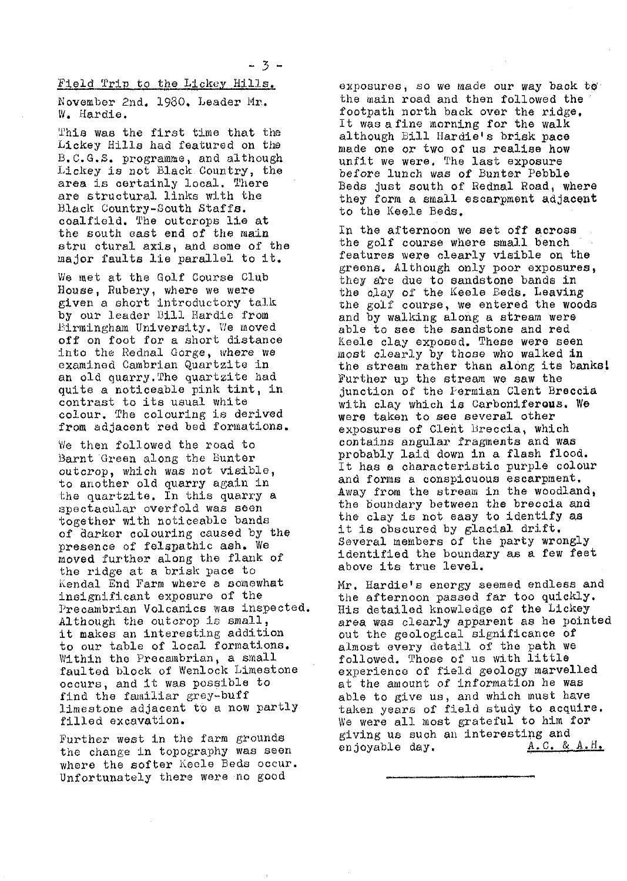Held Trip to the Lickey Hills,

November 2nd. 1980, Leader Mr.. W. Hardie.

T'hie was the first time that the Lickey Mills had featured on the B.C.G.S. programme, and although *Lickey is* not Black. Country, the area is certainly local. There are structural links with the Black Country-3outh Staffs. coalfield. The outcrops lie at the south east end of the main stru otural axis, and some of the major faults lie parallel to it,

We met at the Golf Course Club Mouse, Rubery, where we were given a short Introductory talk by our leader Dill Hardie from Birmingham University. We moved off on foot for a short distance into the Rednal Gorge, where we examined Cambrian Quartzite in an old quarry. The quartzite had quite a noticeable pink tint, in contrast to its usual white colour. The colouring is derived from adjacent red bed formations.

We then followed the road to Barnt Green along the Bunter outcrop, which was not visible, to another old quarry again in the quartzite. In this quarry a spectacular overfold was seen together with noticeable bands of darker colouring caused by the presence of felspathic ash. We moved further along the flank of the ridge at a brisk pace to Kendal End Farm where a somewhat insignificant exposure of the Precambrian Volcanics was inspected. Although the outcrop is small, it makes an interesting addition to our table of local formations. Within the Precambrian, a small faulted block of Wenlock Limestone occurs, and it was possible to find the familiar grey-buff limestone adjacent to a now partly filled excavation.

Further west in the farm grounds the change In topography was seen where the softer Keele Beds occur. Unfortunately there were no good

exposures, so we made our way back to the wain road and then followed the footpath north back over the ridge. It was a fine morning for the walk although Lill Hardie's brisk pace made one or two of us realise how unfit we were. The last exposure before lunch was of Bunter Pebble Beds just south of Rednal Road, where they form a small escarpment adjacent to the Keele Beds,

In the afternoon we set off across the golf course where small bench features were clearly visible on the greens. Although only poor exposures, they a're due to sandstone bands in the o1ay of the Keele Beds. Leaving the golf course, we entered the woods and by walking along a stream were able to see the sandstone and red Keele clay exposed. These were seen most clearly by those who walked in the stream rather than along its banks! Further up the stream we saw the junction of the Permian Clent Breccia with clay which is Carboniferous. We were taken to see several other exposures of Cleht Breccia, which contains angular fragments and was probably laid down in a flash flood. It has a characteristic purple colour and forms a conspicuous escarpment. Away from the stream in the woodland, the boundary between the breccia and the clay is not easy to identify as it is obscured by glacial drift. Several members of the party wrongly identified the boundary as a few feet above its true level.

Mr. Hardie's energy seemed endless and the afternoon passed far too quickly. His detailed knowledge of the Lickey area was clearly apparent as he pointed out the geological significance of almost every detail of the path we followed. Those of us with little experience of field geology marvelled at the amount of information he was able to give us, and which must have taken years of field study to acquire, We were all most grateful to him for giving us such an interesting and<br>enjoyable day.  $A.C. & A.H.$ enjoyable day.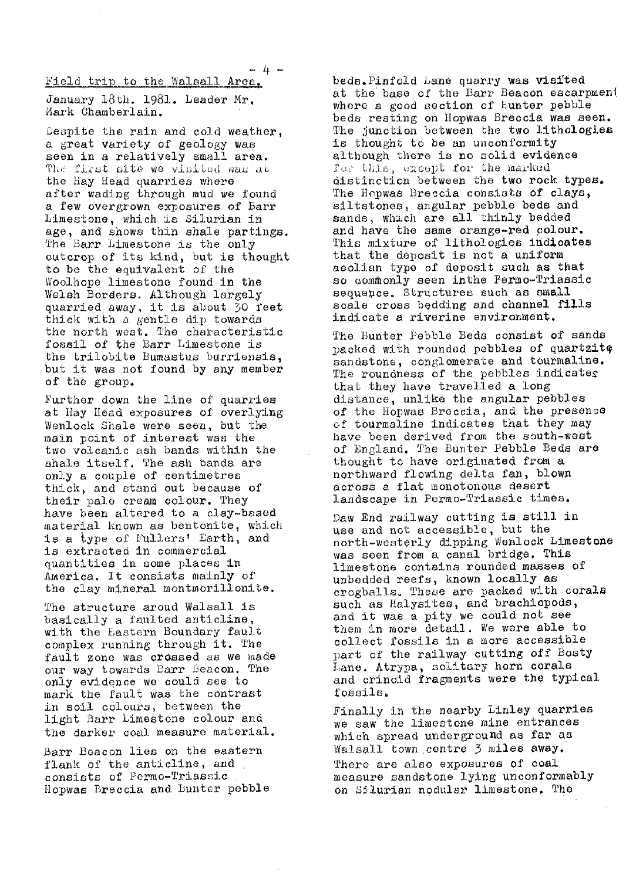$F$ ield trip to the Walsall Area.

January 18th. 1981. Leader Mr. Mark Chamberlain.

Despite the rain and cold weather, a great variety of geology was seen in a relatively small area. The first site we visited was at the Hay Head quarries where after wading through mud we found a few overgrown exposures of Barr Limestone, which is Silurian in age, and shows thin shale partings. The Barr Limestone is the only outcrop of its kind, but is thought to be the equivalent of the Woolhope limestone found in the Welsh Borders. Although largely quarried away, it is about 30 feet thick with a *gentle dip towards* the north west. The characteristic fossil of the Barr Limestone is the trilobite Bumastus burriensia, but it was not found by any member of the group.

Further down the line of quarries at Hay Head exposures of overlying Wenlock Shale were seen, but the main point of interest was the two volcanic ash bands within the shale itself. The ash bands are only a couple of centimetres thick, and stand out because of their pale cream colour. They have been altered to a clay-based material known as bentonite, which is a type of Fullers' Earth, and is extracted in commercial quantities in. some places in America. It consists mainly of the clay mineral montmorillonite.

The structure aroud Walsall is basically a faulted anticline, with the Eastern Boundary fault complex running through it. The fault zone was crossed as we made our way towards Barr Beacon. The only evidgnce we could see to *mark the fault was the contrast* in soil colours, between the light Barr Limestone colour and the darker coal measure material.

Barr Beacon lies on the eastern flank of the anticline, and consists of Permo-Triassic Hopwae Breccia and Bunter pebble beds.Pinfold Lane quarry was visited at the base of the *Barr Beacon escarpment* where a good section of Bunter pebble beds resting on Hopwas Breccia was seen. The junction between the two litbologles is thought to be an unconformity although there is no solid evidence for this, except for the marked distinction between the two rock types. The Hopwas Breccia consists of clays, siltstones, angular pebble beds and sands, which are all thinly bedded and have the same orange-red colour. This mixture of lithologies indicates that the deposit is not a uniform aeolian type of deposit such as that so commonly seen inthe Permo-Triassic sequence. Structures such as small scale cross bedding and channel fills indicate a riverine environment.

The Bunter Pebble Beds consist of sands packed with rounded pebbles of quartzitg sandstone, conglomerate and tourmaline, The roundness of the pebbles indicates that they have travelled a long distance, unlike *the* angular pebbles of the Hopwas Breccia, and the presence of tourmaline indicates that they may have been derived from the south-west of England. The Bunter Pebble Beds are thought to have originated from a northward flowing delta fan, blown across a flat monotonous desert landscape in Permo-Triassic times.

Paw End railway cutting is still in use and not accessible, but the north-westerly dipping Wenlock Limestone was seen from a canal bridge. This limestone contains rounded masses of unbedded reefs, known locally as crogballs. These are packed with corals such as Halysites, and brachiopods, and it was a pity we could not see them in more detail. We were able to collect fossils in a more accessible part of the railway cutting off Bosty Lane. Atrypa, solitary horn corals and crinoid fragments were the typical fossils.

Finally in the nearby Linley quarries we saw the limestone mine entrances which spread underground as far as Walsall town centre 3 miles away. There are also exposures of coal measure sandstone lying unconformably on Silurian nodular limestone. The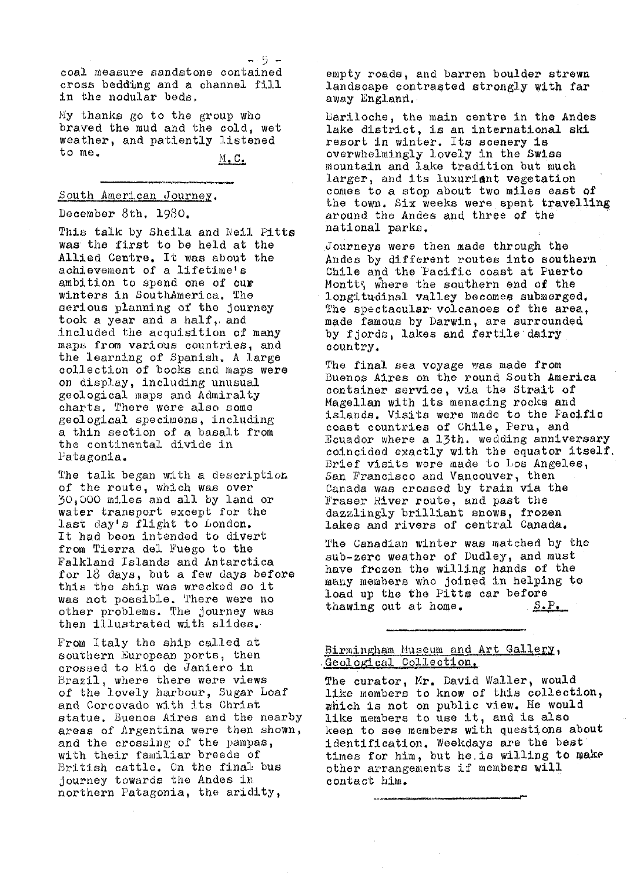coal measure sandstone contained cross bedding and a channel fill in the nodular bads.

My thanks go to the group who braved the mud and the cold, wet weather, and patiently listened to me.

M.C.

### South American Journey.

#### December 8th. 1980.

This talk by Sheila and Neil Pitte was the first to be held at the Allied Centre. It was about the achievement of a lifetime' s ambition to spend one of our **winters in** SouthAmerica. The serious planning of the journey took a year and a half, and included the acquisition of many maps from various countries, and the learning of Spanish. A large collection of books and maps were on display, including unusual geological maps and Admiralty charts. There were also some geological specimens, including a thin section of a basalt from the continental divide in Patagonia.

The talk began with a description of the route, which was over 30.,D00 miles and all by land or water transport except for the last day's flight to London, It had boos intended to divert from Tierra del Fuego to the Falkland Islands and Antarctica for 18 days, but a few days before this the ship was wrecked so it was not possible. There were no other problems. The journey was then illustrated with slides.

From Italy *the ship called at* southern European ports, then crossed to Rio de Janiero in Brazil, where there were views *of the lovely harbour, Sugar Loaf and Corcovado with its Christ* statue. Buenos Aires and the nearby areas of Argentina were then shown, and the crossing of the pampas, with their familiar breeds of British cattle. *On the final-* bus journey towards the Andes in northern Patagonia, the aridity,

empty roads, and barren boulder strewn landscape contrasted strongly with far away England.

lariloche, the main centre in the Andes lake district, is an international ski resort in winter. Its scenery is overwhelmingly lovely in the Swiss mountain and lake tradition but much larger, and its luxuriant vegetation comes to a stop about two miles east of the town. Six weeks were spent **travellin&** around the Andes and three of the national parks.

Journeys were then made through the Andes by different routes into southern *Chile and the Pacific coast at Puerto* Montt; where the southern end of the longitudinal valley becomes submerged. The spectacular volcanoes of the area, made famous by Darwin, are surrounded, by fjords, lakes and fertile dairy country.

The final sea voyage was made from Buenos Aires on the round South America container service, via the Strait of Magellan with its menacing rocks and islands. Visits were made to the Pacific coast countries of Chile, Peru, and Ecuador where a 13th. wedding anniversary coincided exactly with the equator itself. *Brief* visits wore made to Los Angeles, San Francisco and Vancouver, then Canada was crossed by train via the Fraser River route, and past the dazzlingly brilliant snows, frozen lakes and rivers of central Canada,

The Canadian winter was matched by the Bub-zero weather of Dudley, and must have frozen the willing hands of the many members who joined in helping to load up the the Pitts car before<br>thawing out at home.  $S.P.$ thawing out at home.

#### Birmingham Museum and Art Gallery, Geological Collection.

The curator, Mr. David Waller, would like members to know of this collection, which is not on public view. He would like members to use it, and is also keen to see members with questions about identification. Weekdays are the best' times for him, but he, is willing to make other arrangements if members will contact him,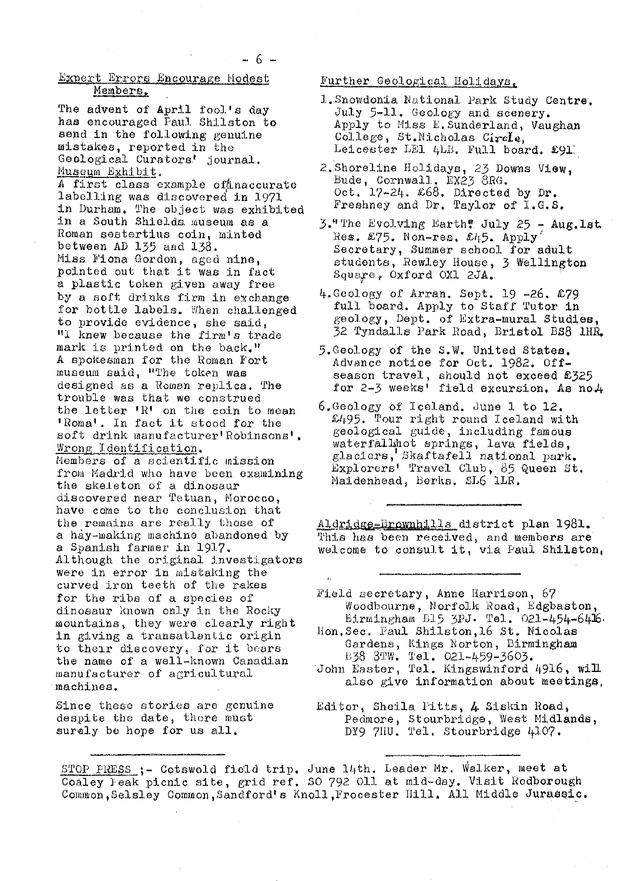# pert Errors Encourage Hodest Members.

The advent of April fool's day has encouraged Faul Shilston to send in the following genuine mistakes, reported in the Geological Curators' journal. Museum Exhibit.

A first class example of naccurate labelling was discovered in 1971 in Durham. The object was exhibited in a South Shields. museum as a Roman sestertius coin, minted between AD 135 and 138. Miss Fiona Gordon, aged nine, pointed out that it was in fact a plastic token given away free by a soft drinks firm in exchange for bottle labels. When challenged to provide evidence, she said, "I knew because the firm's trade mark is printed on the back." A spokesman for the Roman Fort museum said, "The token was designed as a Roman replica. The trouble was that we construed the letter  $\mathbb{R}^1$  on the coin to mean 'Roma'. In fact it stood for the soft drink manufacturer'Robinsons', Wrong Identification. Members of a scientific mission from Madrid who have been examining the skeleton of a dinosaur discovered near Tetuan, Morocco, have come to the conclusion that the remains are really those of a hay-making machine abandoned by a Spanish farmer in 1917. Although the original investigators were in error in mistaking the curved iron teeth of the rakes for the ribs of a species of dinosaur known only in the Rocky mountains, they were clearly right in giving a transatlantic origin to their discovery, for it bears the name of a well-known Canadian manufacturer of agricultural machines.

Since these stories are genuine despite **the** date, there must surely be hope for us all,

#### Further Geological Boll days

- 1. Snowdonia National Park Study Centre, July 5-11. Geology and scenery. Apply to Miss E. Sunderland, Vaughan College, St. Nicholas Circle, Leicester LE1 4LB. Full board. £91.
- 2. Shoreline Holidays, 23 Downs View, Bude, Cornwall. EX23 8RG. Oct.  $17-24$ .  $\&68$ . Directed by Dr. Freshney and Dr. Taylor of I.G.S.
- 3." The Evolving Earth! July 25 Aug. lst. Res.  $£75.$  Non-res.  $£45.$  Apply Secretary, Summer school for adult students, Rewley House, 3 Wellington Squax°a , Oxford OX1 2JA,.
- 4,Geology of Arran. Sept. 19 -26, £79 full board. Apply to Staff Tutor in geology, Dept. **of** Extra-mural Studies, 32 Tyndalls Park Road, Bristol BS8 1HR.
- 5,Geoj.ogy of the S.W. United States, Advance notice for Oct. 1982. Offseason travel, should not exceed £325<br>for 2-3 weeks' field excursion. As no4
- 6.Geology of Iceland. June 1 to 12. £495. Tour right round Iceland with geological guide, including famous waterfallhot springs, lava fields, glaciers, Skaftafell national park. Explorers' Travel Club, 85 Queen St. Maidenhead, Berks. SL6 1LP,

Aldridge=Brownhills district plan 1981. This has been received, and members are welcome to consult it, via Paul Shilston,

Held secretary, Anne Harrison, 67 Woodbourne, Norfolk Road, Edgbaston, Birmingham B15 3PJ. Tel. 021-454-6416. Hon. Sec. Paul Shilston, 16 St. Nicolas Gardens, Kings Norton, Birmingham B38 8TW. Tel. 021-459-3603.

- John Easter, Tel. Kingswinford 4916, will also give information about meetings,
- Editor, Sheila P1tts, 4 Siskin Road., Pedmore, Stourbridge, West Midlands, DY9 7HU. Tel. Stourbridge 4107.

 $\mathbf{u}$ 

STOP PRESS ;- Cotswold field trip. June 14th. Leader Mr. Walker, meet at Coaley leak picnic site, grid ref. SO 792 Oll at mid-day. Visit Rodborough Common,Selsley Common,Sandford'a Knoll ,Frocester Hill, All Middle Jurassic.